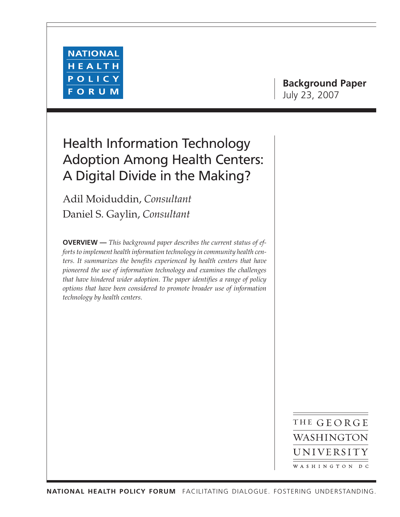

# **Background Paper** July 23, 2007

# Health Information Technology Adoption Among Health Centers: A Digital Divide in the Making?

Adil Moiduddin, *Consultant* Daniel S. Gaylin, *Consultant*

**OVERVIEW —** *This background paper describes the current status of efforts to implement health information technology in community health centers. It summarizes the benefits experienced by health centers that have pioneered the use of information technology and examines the challenges that have hindered wider adoption. The paper identifies a range of policy options that have been considered to promote broader use of information technology by health centers.*

> THE GEORGE WASHINGTON UNIVERSITY WASHINGTON DC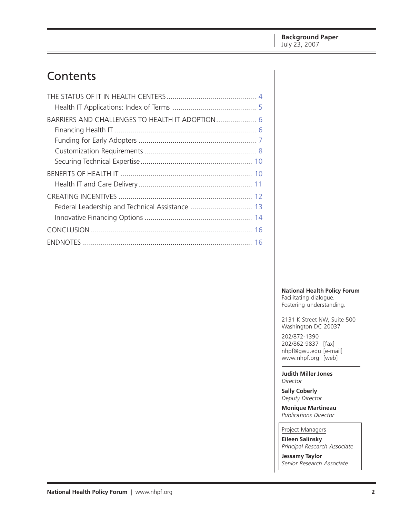# Contents

| BARRIERS AND CHALLENGES TO HEALTH IT ADOPTION 6 |
|-------------------------------------------------|
|                                                 |
|                                                 |
|                                                 |
|                                                 |
|                                                 |
|                                                 |
|                                                 |
| Federal Leadership and Technical Assistance  13 |
|                                                 |
|                                                 |
|                                                 |

#### **National Health Policy Forum**

Facilitating dialogue. Fostering understanding.

2131 K Street NW, Suite 500 Washington DC 20037

202/872-1390 202/862-9837 [fax] [nhpf@gwu.edu \[e](mailto:nhpf@gwu.edu)-mail] [www.nhpf.org \[w](http://www.nhpf.org)eb]

**Judith Miller Jones** *Director*

**Sally Coberly** *Deputy Director*

**Monique Martineau** *Publications Director*

Project Managers **Eileen Salinsky**

*Principal Research Associate*

**Jessamy Taylor** *Senior Research Associate*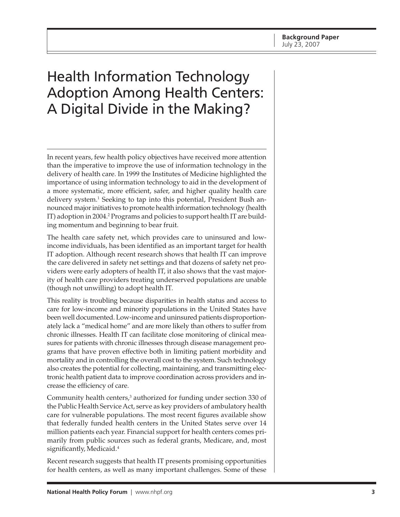# Health Information Technology Adoption Among Health Centers: A Digital Divide in the Making?

In recent years, few health policy objectives have received more attention than the imperative to improve the use of information technology in the delivery of health care. In 1999 the Institutes of Medicine highlighted the importance of using information technology to aid in the development of a more systematic, more efficient, safer, and higher quality health care delivery system.<sup>1</sup> Seeking to tap into this potential, President Bush announced major initiatives to promote health information technology (health IT) adoption in 2004.<sup>2</sup> Programs and policies to support health IT are building momentum and beginning to bear fruit.

The health care safety net, which provides care to uninsured and lowincome individuals, has been identified as an important target for health IT adoption. Although recent research shows that health IT can improve the care delivered in safety net settings and that dozens of safety net providers were early adopters of health IT, it also shows that the vast majority of health care providers treating underserved populations are unable (though not unwilling) to adopt health IT.

This reality is troubling because disparities in health status and access to care for low-income and minority populations in the United States have been well documented. Low-income and uninsured patients disproportionately lack a "medical home" and are more likely than others to suffer from chronic illnesses. Health IT can facilitate close monitoring of clinical measures for patients with chronic illnesses through disease management programs that have proven effective both in limiting patient morbidity and mortality and in controlling the overall cost to the system. Such technology also creates the potential for collecting, maintaining, and transmitting electronic health patient data to improve coordination across providers and increase the efficiency of care.

Community health centers,<sup>3</sup> authorized for funding under section 330 of the Public Health Service Act, serve as key providers of ambulatory health care for vulnerable populations. The most recent figures available show that federally funded health centers in the United States serve over 14 million patients each year. Financial support for health centers comes primarily from public sources such as federal grants, Medicare, and, most significantly, Medicaid.<sup>4</sup>

Recent research suggests that health IT presents promising opportunities for health centers, as well as many important challenges. Some of these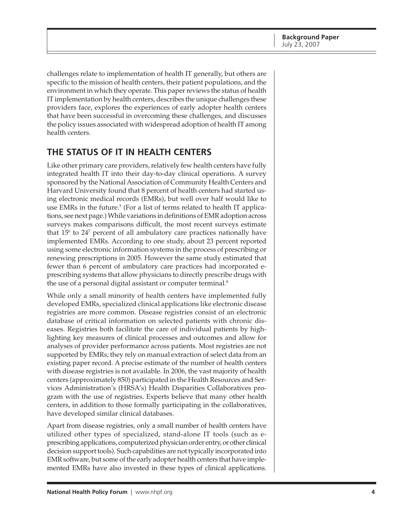<span id="page-3-0"></span>challenges relate to implementation of health IT generally, but others are specific to the mission of health centers, their patient populations, and the environment in which they operate. This paper reviews the status of health IT implementation by health centers, describes the unique challenges these providers face, explores the experiences of early adopter health centers that have been successful in overcoming these challenges, and discusses the policy issues associated with widespread adoption of health IT among health centers.

## **THE STATUS OF IT IN HEALTH CENTERS**

Like other primary care providers, relatively few health centers have fully integrated health IT into their day-to-day clinical operations. A survey sponsored by the National Association of Community Health Centers and Harvard University found that 8 percent of health centers had started using electronic medical records (EMRs), but well over half would like to use EMRs in the future.<sup>5</sup> (For a list of terms related to health IT applications, see next page.) While variations in definitions of EMR adoption across surveys makes comparisons difficult, the most recent surveys estimate that  $15^{\circ}$  to  $24^{\circ}$  percent of all ambulatory care practices nationally have implemented EMRs. According to one study, about 23 percent reported using some electronic information systems in the process of prescribing or renewing prescriptions in 2005. However the same study estimated that fewer than 6 percent of ambulatory care practices had incorporated eprescribing systems that allow physicians to directly prescribe drugs with the use of a personal digital assistant or computer terminal.<sup>8</sup>

While only a small minority of health centers have implemented fully developed EMRs, specialized clinical applications like electronic disease registries are more common. Disease registries consist of an electronic database of critical information on selected patients with chronic diseases. Registries both facilitate the care of individual patients by highlighting key measures of clinical processes and outcomes and allow for analyses of provider performance across patients. Most registries are not supported by EMRs; they rely on manual extraction of select data from an existing paper record. A precise estimate of the number of health centers with disease registries is not available. In 2006, the vast majority of health centers (approximately 850) participated in the Health Resources and Services Administration's (HRSA's) Health Disparities Collaboratives program with the use of registries. Experts believe that many other health centers, in addition to those formally participating in the collaboratives, have developed similar clinical databases.

Apart from disease registries, only a small number of health centers have utilized other types of specialized, stand-alone IT tools (such as eprescribing applications, computerized physician order entry, or other clinical decision support tools). Such capabilities are not typically incorporated into EMR software, but some of the early adopter health centers that have implemented EMRs have also invested in these types of clinical applications.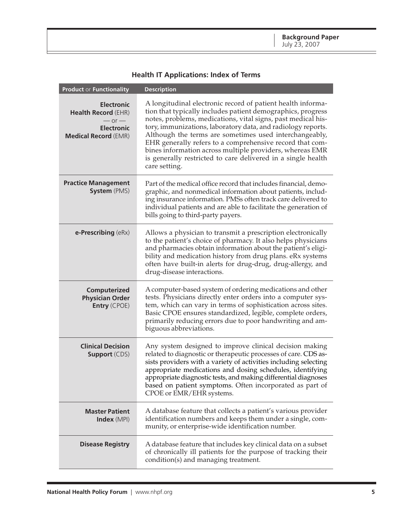<span id="page-4-0"></span>

| <b>Product or Functionality</b>                                                                                   | <b>Description</b>                                                                                                                                                                                                                                                                                                                                                                                                                                                                                                            |
|-------------------------------------------------------------------------------------------------------------------|-------------------------------------------------------------------------------------------------------------------------------------------------------------------------------------------------------------------------------------------------------------------------------------------------------------------------------------------------------------------------------------------------------------------------------------------------------------------------------------------------------------------------------|
| <b>Electronic</b><br><b>Health Record (EHR)</b><br>$-$ or $-$<br><b>Electronic</b><br><b>Medical Record (EMR)</b> | A longitudinal electronic record of patient health informa-<br>tion that typically includes patient demographics, progress<br>notes, problems, medications, vital signs, past medical his-<br>tory, immunizations, laboratory data, and radiology reports.<br>Although the terms are sometimes used interchangeably,<br>EHR generally refers to a comprehensive record that com-<br>bines information across multiple providers, whereas EMR<br>is generally restricted to care delivered in a single health<br>care setting. |
| <b>Practice Management</b><br><b>System</b> (PMS)                                                                 | Part of the medical office record that includes financial, demo-<br>graphic, and nonmedical information about patients, includ-<br>ing insurance information. PMSs often track care delivered to<br>individual patients and are able to facilitate the generation of<br>bills going to third-party payers.                                                                                                                                                                                                                    |
| e-Prescribing (eRx)                                                                                               | Allows a physician to transmit a prescription electronically<br>to the patient's choice of pharmacy. It also helps physicians<br>and pharmacies obtain information about the patient's eligi-<br>bility and medication history from drug plans. eRx systems<br>often have built-in alerts for drug-drug, drug-allergy, and<br>drug-disease interactions.                                                                                                                                                                      |
| Computerized<br><b>Physician Order</b><br>Entry (CPOE)                                                            | A computer-based system of ordering medications and other<br>tests. Physicians directly enter orders into a computer sys-<br>tem, which can vary in terms of sophistication across sites.<br>Basic CPOE ensures standardized, legible, complete orders,<br>primarily reducing errors due to poor handwriting and am-<br>biguous abbreviations.                                                                                                                                                                                |
| <b>Clinical Decision</b><br><b>Support (CDS)</b>                                                                  | Any system designed to improve clinical decision making<br>related to diagnostic or therapeutic processes of care. CDS as-<br>sists providers with a variety of activities including selecting<br>appropriate medications and dosing schedules, identifying<br>appropriate diagnostic tests, and making differential diagnoses<br>based on patient symptoms. Often incorporated as part of<br>CPOE or EMR/EHR systems.                                                                                                        |
| <b>Master Patient</b><br><b>Index</b> (MPI)                                                                       | A database feature that collects a patient's various provider<br>identification numbers and keeps them under a single, com-<br>munity, or enterprise-wide identification number.                                                                                                                                                                                                                                                                                                                                              |
| <b>Disease Registry</b>                                                                                           | A database feature that includes key clinical data on a subset<br>of chronically ill patients for the purpose of tracking their<br>condition(s) and managing treatment.                                                                                                                                                                                                                                                                                                                                                       |

### **Health IT Applications: Index of Terms**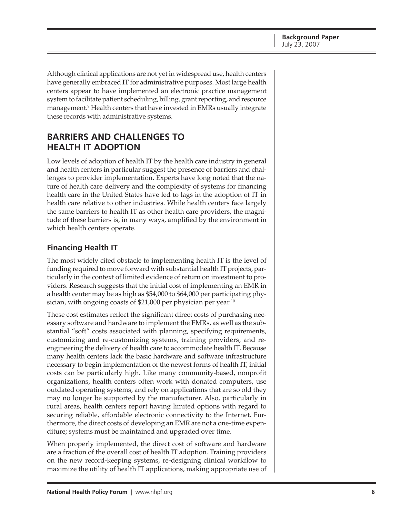<span id="page-5-0"></span>Although clinical applications are not yet in widespread use, health centers have generally embraced IT for administrative purposes. Most large health centers appear to have implemented an electronic practice management system to facilitate patient scheduling, billing, grant reporting, and resource management.<sup>9</sup> Health centers that have invested in EMRs usually integrate these records with administrative systems.

# **BARRIERS AND CHALLENGES TO HEALTH IT ADOPTION**

Low levels of adoption of health IT by the health care industry in general and health centers in particular suggest the presence of barriers and challenges to provider implementation. Experts have long noted that the nature of health care delivery and the complexity of systems for financing health care in the United States have led to lags in the adoption of IT in health care relative to other industries. While health centers face largely the same barriers to health IT as other health care providers, the magnitude of these barriers is, in many ways, amplified by the environment in which health centers operate.

### **Financing Health IT**

The most widely cited obstacle to implementing health IT is the level of funding required to move forward with substantial health IT projects, particularly in the context of limited evidence of return on investment to providers. Research suggests that the initial cost of implementing an EMR in a health center may be as high as \$54,000 to \$64,000 per participating physician, with ongoing coasts of \$21,000 per physician per year.<sup>10</sup>

These cost estimates reflect the significant direct costs of purchasing necessary software and hardware to implement the EMRs, as well as the substantial "soft" costs associated with planning, specifying requirements, customizing and re-customizing systems, training providers, and reengineering the delivery of health care to accommodate health IT. Because many health centers lack the basic hardware and software infrastructure necessary to begin implementation of the newest forms of health IT, initial costs can be particularly high. Like many community-based, nonprofit organizations, health centers often work with donated computers, use outdated operating systems, and rely on applications that are so old they may no longer be supported by the manufacturer. Also, particularly in rural areas, health centers report having limited options with regard to securing reliable, affordable electronic connectivity to the Internet. Furthermore, the direct costs of developing an EMR are not a one-time expenditure; systems must be maintained and upgraded over time.

When properly implemented, the direct cost of software and hardware are a fraction of the overall cost of health IT adoption. Training providers on the new record-keeping systems, re-designing clinical workflow to maximize the utility of health IT applications, making appropriate use of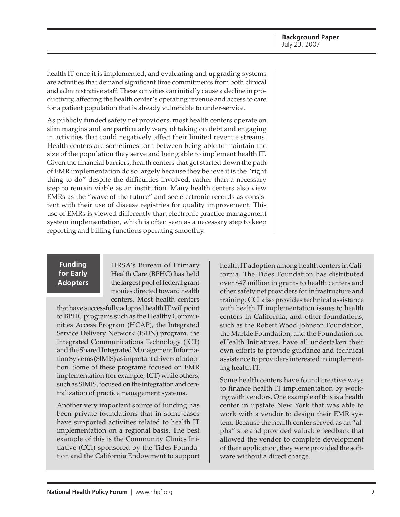<span id="page-6-0"></span>health IT once it is implemented, and evaluating and upgrading systems are activities that demand significant time commitments from both clinical and administrative staff. These activities can initially cause a decline in productivity, affecting the health center's operating revenue and access to care for a patient population that is already vulnerable to under-service.

As publicly funded safety net providers, most health centers operate on slim margins and are particularly wary of taking on debt and engaging in activities that could negatively affect their limited revenue streams. Health centers are sometimes torn between being able to maintain the size of the population they serve and being able to implement health IT. Given the financial barriers, health centers that get started down the path of EMR implementation do so largely because they believe it is the "right thing to do" despite the difficulties involved, rather than a necessary step to remain viable as an institution. Many health centers also view EMRs as the "wave of the future" and see electronic records as consistent with their use of disease registries for quality improvement. This use of EMRs is viewed differently than electronic practice management system implementation, which is often seen as a necessary step to keep reporting and billing functions operating smoothly.

#### **Funding for Early Adopters**

HRSA's Bureau of Primary Health Care (BPHC) has held the largest pool of federal grant monies directed toward health centers. Most health centers

that have successfully adopted health IT will point to BPHC programs such as the Healthy Communities Access Program (HCAP), the Integrated Service Delivery Network (ISDN) program, the Integrated Communications Technology (ICT) and the Shared Integrated Management Information Systems (SIMIS) as important drivers of adoption. Some of these programs focused on EMR implementation (for example, ICT) while others, such as SIMIS, focused on the integration and centralization of practice management systems.

Another very important source of funding has been private foundations that in some cases have supported activities related to health IT implementation on a regional basis. The best example of this is the Community Clinics Initiative (CCI) sponsored by the Tides Foundation and the California Endowment to support

health IT adoption among health centers in California. The Tides Foundation has distributed over \$47 million in grants to health centers and other safety net providers for infrastructure and training. CCI also provides technical assistance with health IT implementation issues to health centers in California, and other foundations, such as the Robert Wood Johnson Foundation, the Markle Foundation, and the Foundation for eHealth Initiatives, have all undertaken their own efforts to provide guidance and technical assistance to providers interested in implementing health IT.

Some health centers have found creative ways to finance health IT implementation by working with vendors. One example of this is a health center in upstate New York that was able to work with a vendor to design their EMR system. Because the health center served as an "alpha" site and provided valuable feedback that allowed the vendor to complete development of their application, they were provided the software without a direct charge.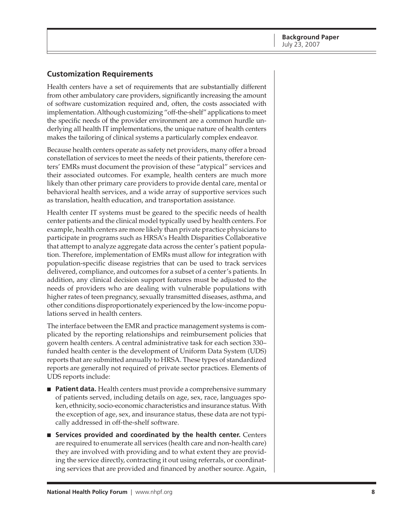### <span id="page-7-0"></span>**Customization Requirements**

Health centers have a set of requirements that are substantially different from other ambulatory care providers, significantly increasing the amount of software customization required and, often, the costs associated with implementation. Although customizing "off-the-shelf" applications to meet the specific needs of the provider environment are a common hurdle underlying all health IT implementations, the unique nature of health centers makes the tailoring of clinical systems a particularly complex endeavor.

Because health centers operate as safety net providers, many offer a broad constellation of services to meet the needs of their patients, therefore centers' EMRs must document the provision of these "atypical" services and their associated outcomes. For example, health centers are much more likely than other primary care providers to provide dental care, mental or behavioral health services, and a wide array of supportive services such as translation, health education, and transportation assistance.

Health center IT systems must be geared to the specific needs of health center patients and the clinical model typically used by health centers. For example, health centers are more likely than private practice physicians to participate in programs such as HRSA's Health Disparities Collaborative that attempt to analyze aggregate data across the center's patient population. Therefore, implementation of EMRs must allow for integration with population-specific disease registries that can be used to track services delivered, compliance, and outcomes for a subset of a center's patients. In addition, any clinical decision support features must be adjusted to the needs of providers who are dealing with vulnerable populations with higher rates of teen pregnancy, sexually transmitted diseases, asthma, and other conditions disproportionately experienced by the low-income populations served in health centers.

The interface between the EMR and practice management systems is complicated by the reporting relationships and reimbursement policies that govern health centers. A central administrative task for each section 330– funded health center is the development of Uniform Data System (UDS) reports that are submitted annually to HRSA. These types of standardized reports are generally not required of private sector practices. Elements of UDS reports include:

- **Patient data.** Health centers must provide a comprehensive summary of patients served, including details on age, sex, race, languages spoken, ethnicity, socio-economic characteristics and insurance status. With the exception of age, sex, and insurance status, these data are not typically addressed in off-the-shelf software.
- **Services provided and coordinated by the health center.** Centers are required to enumerate all services (health care and non-health care) they are involved with providing and to what extent they are providing the service directly, contracting it out using referrals, or coordinating services that are provided and financed by another source. Again,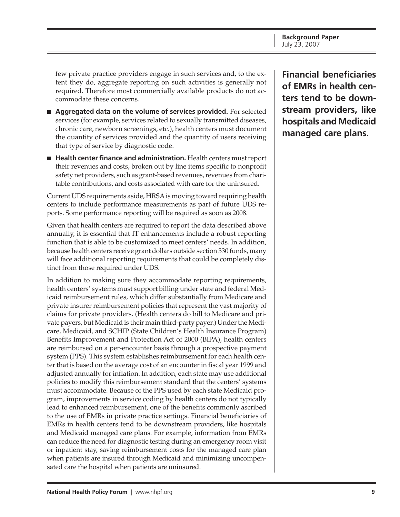**Background Paper** July 23, 2007

few private practice providers engage in such services and, to the extent they do, aggregate reporting on such activities is generally not required. Therefore most commercially available products do not accommodate these concerns.

- **Aggregated data on the volume of services provided.** For selected services (for example, services related to sexually transmitted diseases, chronic care, newborn screenings, etc.), health centers must document the quantity of services provided and the quantity of users receiving that type of service by diagnostic code.
- **Health center finance and administration.** Health centers must report their revenues and costs, broken out by line items specific to nonprofit safety net providers, such as grant-based revenues, revenues from charitable contributions, and costs associated with care for the uninsured.

Current UDS requirements aside, HRSA is moving toward requiring health centers to include performance measurements as part of future UDS reports. Some performance reporting will be required as soon as 2008.

Given that health centers are required to report the data described above annually, it is essential that IT enhancements include a robust reporting function that is able to be customized to meet centers' needs. In addition, because health centers receive grant dollars outside section 330 funds, many will face additional reporting requirements that could be completely distinct from those required under UDS.

In addition to making sure they accommodate reporting requirements, health centers' systems must support billing under state and federal Medicaid reimbursement rules, which differ substantially from Medicare and private insurer reimbursement policies that represent the vast majority of claims for private providers. (Health centers do bill to Medicare and private payers, but Medicaid is their main third-party payer.) Under the Medicare, Medicaid, and SCHIP (State Children's Health Insurance Program) Benefits Improvement and Protection Act of 2000 (BIPA), health centers are reimbursed on a per-encounter basis through a prospective payment system (PPS). This system establishes reimbursement for each health center that is based on the average cost of an encounter in fiscal year 1999 and adjusted annually for inflation. In addition, each state may use additional policies to modify this reimbursement standard that the centers' systems must accommodate. Because of the PPS used by each state Medicaid program, improvements in service coding by health centers do not typically lead to enhanced reimbursement, one of the benefits commonly ascribed to the use of EMRs in private practice settings. Financial beneficiaries of EMRs in health centers tend to be downstream providers, like hospitals and Medicaid managed care plans. For example, information from EMRs can reduce the need for diagnostic testing during an emergency room visit or inpatient stay, saving reimbursement costs for the managed care plan when patients are insured through Medicaid and minimizing uncompensated care the hospital when patients are uninsured.

**Financial beneficiaries of EMRs in health centers tend to be downstream providers, like hospitals and Medicaid managed care plans.**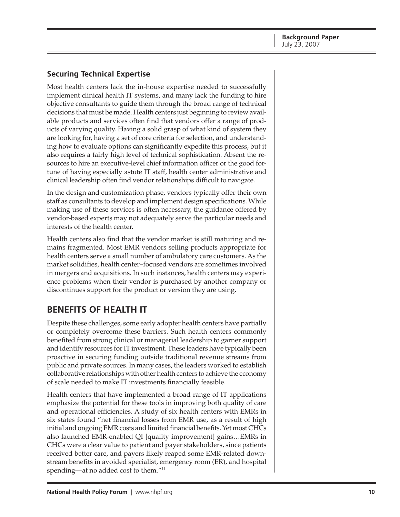### <span id="page-9-0"></span>**Securing Technical Expertise**

Most health centers lack the in-house expertise needed to successfully implement clinical health IT systems, and many lack the funding to hire objective consultants to guide them through the broad range of technical decisions that must be made. Health centers just beginning to review available products and services often find that vendors offer a range of products of varying quality. Having a solid grasp of what kind of system they are looking for, having a set of core criteria for selection, and understanding how to evaluate options can significantly expedite this process, but it also requires a fairly high level of technical sophistication. Absent the resources to hire an executive-level chief information officer or the good fortune of having especially astute IT staff, health center administrative and clinical leadership often find vendor relationships difficult to navigate.

In the design and customization phase, vendors typically offer their own staff as consultants to develop and implement design specifications. While making use of these services is often necessary, the guidance offered by vendor-based experts may not adequately serve the particular needs and interests of the health center.

Health centers also find that the vendor market is still maturing and remains fragmented. Most EMR vendors selling products appropriate for health centers serve a small number of ambulatory care customers. As the market solidifies, health center–focused vendors are sometimes involved in mergers and acquisitions. In such instances, health centers may experience problems when their vendor is purchased by another company or discontinues support for the product or version they are using.

# **BENEFITS OF HEALTH IT**

Despite these challenges, some early adopter health centers have partially or completely overcome these barriers. Such health centers commonly benefited from strong clinical or managerial leadership to garner support and identify resources for IT investment. These leaders have typically been proactive in securing funding outside traditional revenue streams from public and private sources. In many cases, the leaders worked to establish collaborative relationships with other health centers to achieve the economy of scale needed to make IT investments financially feasible.

Health centers that have implemented a broad range of IT applications emphasize the potential for these tools in improving both quality of care and operational efficiencies. A study of six health centers with EMRs in six states found "net financial losses from EMR use, as a result of high initial and ongoing EMR costs and limited financial benefits. Yet most CHCs also launched EMR-enabled QI [quality improvement] gains…EMRs in CHCs were a clear value to patient and payer stakeholders, since patients received better care, and payers likely reaped some EMR-related downstream benefits in avoided specialist, emergency room (ER), and hospital spending—at no added cost to them."11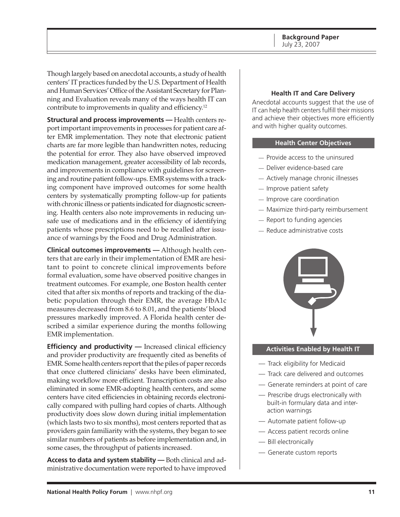<span id="page-10-0"></span>Though largely based on anecdotal accounts, a study of health centers' IT practices funded by the U.S. Department of Health and Human Services' Office of the Assistant Secretary for Planning and Evaluation reveals many of the ways health IT can contribute to improvements in quality and efficiency.12

**Structural and process improvements —** Health centers report important improvements in processes for patient care after EMR implementation. They note that electronic patient charts are far more legible than handwritten notes, reducing the potential for error. They also have observed improved medication management, greater accessibility of lab records, and improvements in compliance with guidelines for screening and routine patient follow-ups. EMR systems with a tracking component have improved outcomes for some health centers by systematically prompting follow-up for patients with chronic illness or patients indicated for diagnostic screening. Health centers also note improvements in reducing unsafe use of medications and in the efficiency of identifying patients whose prescriptions need to be recalled after issuance of warnings by the Food and Drug Administration.

**Clinical outcomes improvements —** Although health centers that are early in their implementation of EMR are hesitant to point to concrete clinical improvements before formal evaluation, some have observed positive changes in treatment outcomes. For example, one Boston health center cited that after six months of reports and tracking of the diabetic population through their EMR, the average HbA1c measures decreased from 8.6 to 8.01, and the patients' blood pressures markedly improved. A Florida health center described a similar experience during the months following EMR implementation.

**Efficiency and productivity** — Increased clinical efficiency and provider productivity are frequently cited as benefits of EMR. Some health centers report that the piles of paper records that once cluttered clinicians' desks have been eliminated, making workflow more efficient. Transcription costs are also eliminated in some EMR-adopting health centers, and some centers have cited efficiencies in obtaining records electronically compared with pulling hard copies of charts. Although productivity does slow down during initial implementation (which lasts two to six months), most centers reported that as providers gain familiarity with the systems, they began to see similar numbers of patients as before implementation and, in some cases, the throughput of patients increased.

**Access to data and system stability —** Both clinical and administrative documentation were reported to have improved

#### **Health IT and Care Delivery**

Anecdotal accounts suggest that the use of IT can help health centers fulfill their missions and achieve their objectives more efficiently and with higher quality outcomes.

#### **Health Center Objectives**

- Provide access to the uninsured —
- Deliver evidence-based care —
- Actively manage chronic illnesses —
- Improve patient safety
- $-$  Improve care coordination
- Maximize third-party reimbursement —
- Report to funding agencies —
- Reduce administrative costs —



#### **Activities Enabled by Health IT**

- Track eligibility for Medicaid —
- Track care delivered and outcomes —
- Generate reminders at point of care —
- Prescribe drugs electronically with built-in formulary data and interaction warnings
- Automate patient follow-up —
- Access patient records online —
- Bill electronically —
- Generate custom reports —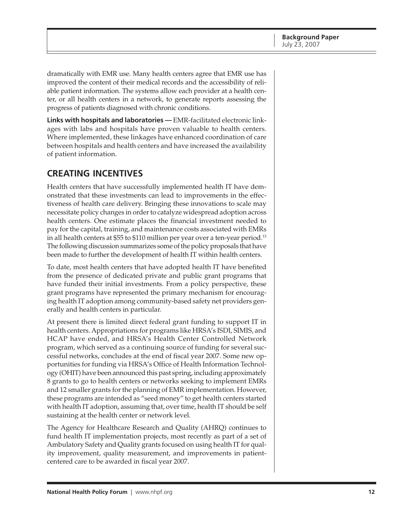<span id="page-11-0"></span>dramatically with EMR use. Many health centers agree that EMR use has improved the content of their medical records and the accessibility of reliable patient information. The systems allow each provider at a health center, or all health centers in a network, to generate reports assessing the progress of patients diagnosed with chronic conditions.

**Links with hospitals and laboratories —** EMR-facilitated electronic linkages with labs and hospitals have proven valuable to health centers. Where implemented, these linkages have enhanced coordination of care between hospitals and health centers and have increased the availability of patient information.

# **CREATING INCENTIVES**

Health centers that have successfully implemented health IT have demonstrated that these investments can lead to improvements in the effectiveness of health care delivery. Bringing these innovations to scale may necessitate policy changes in order to catalyze widespread adoption across health centers. One estimate places the financial investment needed to pay for the capital, training, and maintenance costs associated with EMRs in all health centers at \$55 to \$110 million per year over a ten-year period.<sup>13</sup> The following discussion summarizes some of the policy proposals that have been made to further the development of health IT within health centers.

To date, most health centers that have adopted health IT have benefited from the presence of dedicated private and public grant programs that have funded their initial investments. From a policy perspective, these grant programs have represented the primary mechanism for encouraging health IT adoption among community-based safety net providers generally and health centers in particular.

At present there is limited direct federal grant funding to support IT in health centers. Appropriations for programs like HRSA's ISDI, SIMIS, and HCAP have ended, and HRSA's Health Center Controlled Network program, which served as a continuing source of funding for several successful networks, concludes at the end of fiscal year 2007. Some new opportunities for funding via HRSA's Office of Health Information Technology (OHIT) have been announced this past spring, including approximately 8 grants to go to health centers or networks seeking to implement EMRs and 12 smaller grants for the planning of EMR implementation. However, these programs are intended as "seed money" to get health centers started with health IT adoption, assuming that, over time, health IT should be self sustaining at the health center or network level.

The Agency for Healthcare Research and Quality (AHRQ) continues to fund health IT implementation projects, most recently as part of a set of Ambulatory Safety and Quality grants focused on using health IT for quality improvement, quality measurement, and improvements in patientcentered care to be awarded in fiscal year 2007.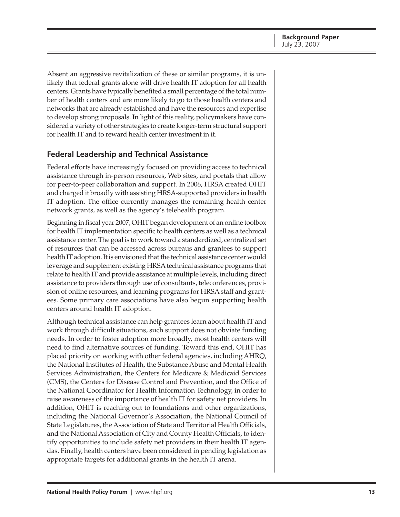<span id="page-12-0"></span>Absent an aggressive revitalization of these or similar programs, it is unlikely that federal grants alone will drive health IT adoption for all health centers. Grants have typically benefited a small percentage of the total number of health centers and are more likely to go to those health centers and networks that are already established and have the resources and expertise to develop strong proposals. In light of this reality, policymakers have considered a variety of other strategies to create longer-term structural support for health IT and to reward health center investment in it.

#### **Federal Leadership and Technical Assistance**

Federal efforts have increasingly focused on providing access to technical assistance through in-person resources, Web sites, and portals that allow for peer-to-peer collaboration and support. In 2006, HRSA created OHIT and charged it broadly with assisting HRSA-supported providers in health IT adoption. The office currently manages the remaining health center network grants, as well as the agency's telehealth program.

Beginning in fiscal year 2007, OHIT began development of an online toolbox for health IT implementation specific to health centers as well as a technical assistance center. The goal is to work toward a standardized, centralized set of resources that can be accessed across bureaus and grantees to support health IT adoption. It is envisioned that the technical assistance center would leverage and supplement existing HRSA technical assistance programs that relate to health IT and provide assistance at multiple levels, including direct assistance to providers through use of consultants, teleconferences, provision of online resources, and learning programs for HRSA staff and grantees. Some primary care associations have also begun supporting health centers around health IT adoption.

Although technical assistance can help grantees learn about health IT and work through difficult situations, such support does not obviate funding needs. In order to foster adoption more broadly, most health centers will need to find alternative sources of funding. Toward this end, OHIT has placed priority on working with other federal agencies, including AHRQ, the National Institutes of Health, the Substance Abuse and Mental Health Services Administration, the Centers for Medicare & Medicaid Services (CMS), the Centers for Disease Control and Prevention, and the Office of the National Coordinator for Health Information Technology, in order to raise awareness of the importance of health IT for safety net providers. In addition, OHIT is reaching out to foundations and other organizations, including the National Governor's Association, the National Council of State Legislatures, the Association of State and Territorial Health Officials, and the National Association of City and County Health Officials, to identify opportunities to include safety net providers in their health IT agendas. Finally, health centers have been considered in pending legislation as appropriate targets for additional grants in the health IT arena.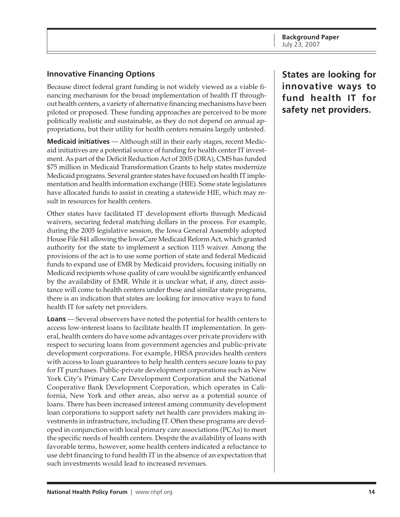### <span id="page-13-0"></span>**Innovative Financing Options**

Because direct federal grant funding is not widely viewed as a viable financing mechanism for the broad implementation of health IT throughout health centers, a variety of alternative financing mechanisms have been piloted or proposed. These funding approaches are perceived to be more politically realistic and sustainable, as they do not depend on annual appropriations, but their utility for health centers remains largely untested.

**Medicaid initiatives** — Although still in their early stages, recent Medicaid initiatives are a potential source of funding for health center IT investment. As part of the Deficit Reduction Act of 2005 (DRA), CMS has funded \$75 million in Medicaid Transformation Grants to help states modernize Medicaid programs. Several grantee states have focused on health IT implementation and health information exchange (HIE). Some state legislatures have allocated funds to assist in creating a statewide HIE, which may result in resources for health centers.

Other states have facilitated IT development efforts through Medicaid waivers, securing federal matching dollars in the process. For example, during the 2005 legislative session, the Iowa General Assembly adopted House File 841 allowing the IowaCare Medicaid Reform Act, which granted authority for the state to implement a section 1115 waiver. Among the provisions of the act is to use some portion of state and federal Medicaid funds to expand use of EMR by Medicaid providers, focusing initially on Medicaid recipients whose quality of care would be significantly enhanced by the availability of EMR. While it is unclear what, if any, direct assistance will come to health centers under these and similar state programs, there is an indication that states are looking for innovative ways to fund health IT for safety net providers.

**Loans** — Several observers have noted the potential for health centers to access low-interest loans to facilitate health IT implementation. In general, health centers do have some advantages over private providers with respect to securing loans from government agencies and public-private development corporations. For example, HRSA provides health centers with access to loan guarantees to help health centers secure loans to pay for IT purchases. Public-private development corporations such as New York City's Primary Care Development Corporation and the National Cooperative Bank Development Corporation, which operates in California, New York and other areas, also serve as a potential source of loans. There has been increased interest among community development loan corporations to support safety net health care providers making investments in infrastructure, including IT. Often these programs are developed in conjunction with local primary care associations (PCAs) to meet the specific needs of health centers. Despite the availability of loans with favorable terms, however, some health centers indicated a reluctance to use debt financing to fund health IT in the absence of an expectation that such investments would lead to increased revenues.

**States are looking for innovative ways to fund health IT for safety net providers.**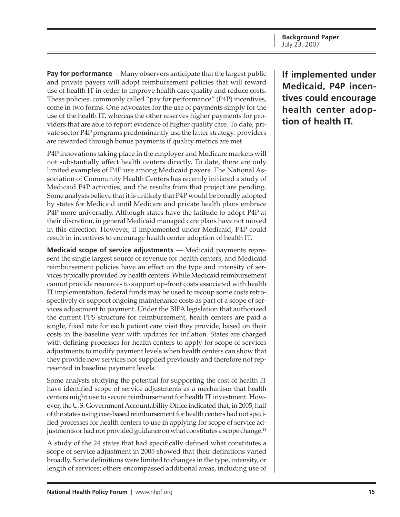**Pay for performance**— Many observers anticipate that the largest public and private payers will adopt reimbursement policies that will reward use of health IT in order to improve health care quality and reduce costs. These policies, commonly called "pay for performance" (P4P) incentives, come in two forms. One advocates for the use of payments simply for the use of the health IT, whereas the other reserves higher payments for providers that are able to report evidence of higher quality care. To date, private sector P4P programs predominantly use the latter strategy: providers are rewarded through bonus payments if quality metrics are met.

P4P innovations taking place in the employer and Medicare markets will not substantially affect health centers directly. To date, there are only limited examples of P4P use among Medicaid payers. The National Association of Community Health Centers has recently initiated a study of Medicaid P4P activities, and the results from that project are pending. Some analysts believe that it is unlikely that P4P would be broadly adopted by states for Medicaid until Medicare and private health plans embrace P4P more universally. Although states have the latitude to adopt P4P at their discretion, in general Medicaid managed care plans have not moved in this direction. However, if implemented under Medicaid, P4P could result in incentives to encourage health center adoption of health IT.

**Medicaid scope of service adjustments** — Medicaid payments represent the single largest source of revenue for health centers, and Medicaid reimbursement policies have an effect on the type and intensity of services typically provided by health centers. While Medicaid reimbursement cannot provide resources to support up-front costs associated with health IT implementation, federal funds may be used to recoup some costs retrospectively or support ongoing maintenance costs as part of a scope of services adjustment to payment. Under the BIPA legislation that authorized the current PPS structure for reimbursement, health centers are paid a single, fixed rate for each patient care visit they provide, based on their costs in the baseline year with updates for inflation. States are charged with defining processes for health centers to apply for scope of services adjustments to modify payment levels when health centers can show that they provide new services not supplied previously and therefore not represented in baseline payment levels.

Some analysts studying the potential for supporting the cost of health IT have identified scope of service adjustments as a mechanism that health centers might use to secure reimbursement for health IT investment. However, the U.S. Government Accountability Office indicated that, in 2005, half of the states using cost-based reimbursement for health centers had not specified processes for health centers to use in applying for scope of service adjustments or had not provided guidance on what constitutes a scope change.<sup>14</sup>

A study of the 24 states that had specifically defined what constitutes a scope of service adjustment in 2005 showed that their definitions varied broadly. Some definitions were limited to changes in the type, intensity, or length of services; others encompassed additional areas, including use of

**If implemented under Medicaid, P4P incentives could encourage health center adoption of health IT.**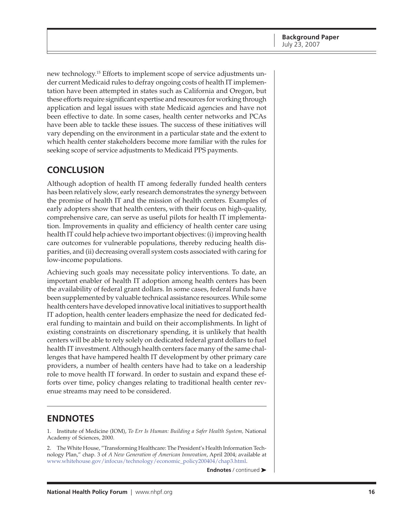<span id="page-15-0"></span>new technology.15 Efforts to implement scope of service adjustments under current Medicaid rules to defray ongoing costs of health IT implementation have been attempted in states such as California and Oregon, but these efforts require significant expertise and resources for working through application and legal issues with state Medicaid agencies and have not been effective to date. In some cases, health center networks and PCAs have been able to tackle these issues. The success of these initiatives will vary depending on the environment in a particular state and the extent to which health center stakeholders become more familiar with the rules for seeking scope of service adjustments to Medicaid PPS payments.

# **CONCLUSION**

Although adoption of health IT among federally funded health centers has been relatively slow, early research demonstrates the synergy between the promise of health IT and the mission of health centers. Examples of early adopters show that health centers, with their focus on high-quality, comprehensive care, can serve as useful pilots for health IT implementation. Improvements in quality and efficiency of health center care using health IT could help achieve two important objectives: (i) improving health care outcomes for vulnerable populations, thereby reducing health disparities, and (ii) decreasing overall system costs associated with caring for low-income populations.

Achieving such goals may necessitate policy interventions. To date, an important enabler of health IT adoption among health centers has been the availability of federal grant dollars. In some cases, federal funds have been supplemented by valuable technical assistance resources. While some health centers have developed innovative local initiatives to support health IT adoption, health center leaders emphasize the need for dedicated federal funding to maintain and build on their accomplishments. In light of existing constraints on discretionary spending, it is unlikely that health centers will be able to rely solely on dedicated federal grant dollars to fuel health IT investment. Although health centers face many of the same challenges that have hampered health IT development by other primary care providers, a number of health centers have had to take on a leadership role to move health IT forward. In order to sustain and expand these efforts over time, policy changes relating to traditional health center revenue streams may need to be considered.

### **ENDNOTES**

1. Institute of Medicine (IOM), *To Err Is Human: Building a Safer Health System,* National Academy of Sciences, 2000.

2. The White House, "Transforming Healthcare: The President's Health Information Technology Plan," chap. 3 of *A New Generation of American Innovation*, April 2004; available at [www.whitehouse.gov/infocus/technology/economic\\_policy200404/chap3.html.](http://www.whitehouse.gov/infocus/technology/economic_policy200404/chap3.html)

**Endnotes** / continued ➤